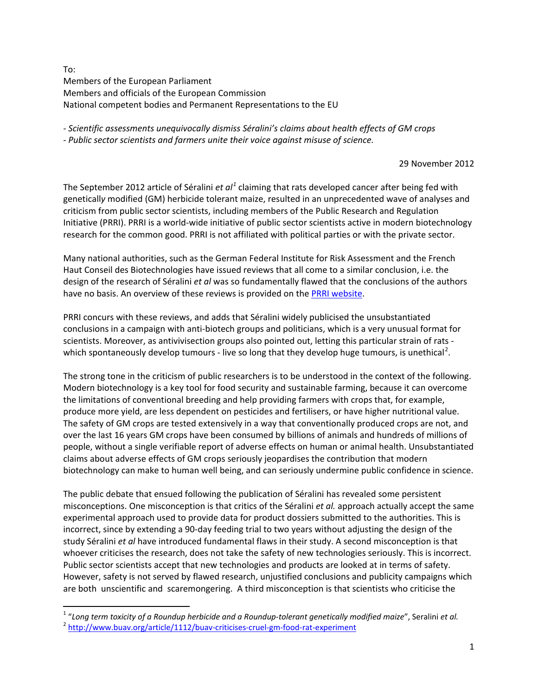To: Members of the European Parliament Members and officials of the European Commission National competent bodies and Permanent Representations to the EU

*- Scientific assessments unequivocally dismiss Séralini's claims about health effects of GM crops*

*- Public sector scientists and farmers unite their voice against misuse of science.* 

29 November 2012

The September 2012 article of Séralini *et al[1](#page-1-0)* claiming that rats developed cancer after being fed with geneticall*y* modified (GM) herbicide tolerant maize, resulted in an unprecedented wave of analyses and criticism from public sector scientists, including members of the Public Research and Regulation Initiative (PRRI). PRRI is a world-wide initiative of public sector scientists active in modern biotechnology research for the common good. PRRI is not affiliated with political parties or with the private sector.

Many national authorities, such as the German Federal Institute for Risk Assessment and the French Haut Conseil des Biotechnologies have issued reviews that all come to a similar conclusion, i.e. the design of the research of Séralini *et al* was so fundamentally flawed that the conclusions of the authors have no basis. An overview of these reviews is provided on the **PRRI website**.

PRRI concurs with these reviews, and adds that Séralini widely publicised the unsubstantiated conclusions in a campaign with anti-biotech groups and politicians, which is a very unusual format for scientists. Moreover, as antivivisection groups also pointed out, letting this particular strain of rats - which spontaneously develop tumours - live so long that they develop huge tumours, is unethical<sup>[2](#page-0-0)</sup>.

The strong tone in the criticism of public researchers is to be understood in the context of the following. Modern biotechnology is a key tool for food security and sustainable farming, because it can overcome the limitations of conventional breeding and help providing farmers with crops that, for example, produce more yield, are less dependent on pesticides and fertilisers, or have higher nutritional value. The safety of GM crops are tested extensively in a way that conventionally produced crops are not, and over the last 16 years GM crops have been consumed by billions of animals and hundreds of millions of people, without a single verifiable report of adverse effects on human or animal health. Unsubstantiated claims about adverse effects of GM crops seriously jeopardises the contribution that modern biotechnology can make to human well being, and can seriously undermine public confidence in science.

The public debate that ensued following the publication of Séralini has revealed some persistent misconceptions. One misconception is that critics of the Séralini *et al.* approach actually accept the same experimental approach used to provide data for product dossiers submitted to the authorities. This is incorrect, since by extending a 90-day feeding trial to two years without adjusting the design of the study Séralini *et al* have introduced fundamental flaws in their study. A second misconception is that whoever criticises the research, does not take the safety of new technologies seriously. This is incorrect. Public sector scientists accept that new technologies and products are looked at in terms of safety. However, safety is not served by flawed research, unjustified conclusions and publicity campaigns which are both unscientific and scaremongering. A third misconception is that scientists who criticise the

<span id="page-0-0"></span><sup>&</sup>lt;sup>1</sup> "Long term toxicity of a Roundup herbicide and a Roundup-tolerant genetically modified maize", Seralini et al.<br><sup>2</sup> <http://www.buav.org/article/1112/buav-criticises-cruel-gm-food-rat-experiment>